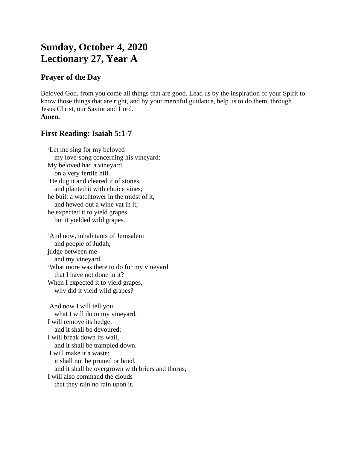# **Sunday, October 4, 2020 Lectionary 27, Year A**

## **Prayer of the Day**

Beloved God, from you come all things that are good. Lead us by the inspiration of your Spirit to know those things that are right, and by your merciful guidance, help us to do them, through Jesus Christ, our Savior and Lord. **Amen.**

## **First Reading: Isaiah 5:1-7**

<sup>1</sup>Let me sing for my beloved my love-song concerning his vineyard: My beloved had a vineyard on a very fertile hill. <sup>2</sup>He dug it and cleared it of stones, and planted it with choice vines; he built a watchtower in the midst of it, and hewed out a wine vat in it; he expected it to yield grapes, but it yielded wild grapes.

<sup>3</sup>And now, inhabitants of Jerusalem and people of Judah, judge between me and my vineyard. <sup>4</sup>What more was there to do for my vineyard that I have not done in it? When I expected it to yield grapes, why did it yield wild grapes?

<sup>5</sup>And now I will tell you what I will do to my vineyard. I will remove its hedge, and it shall be devoured; I will break down its wall, and it shall be trampled down. 6 I will make it a waste; it shall not be pruned or hoed, and it shall be overgrown with briers and thorns; I will also command the clouds that they rain no rain upon it.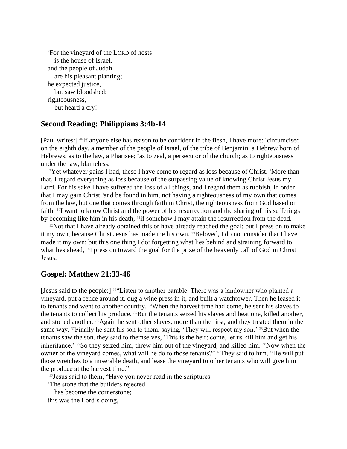<sup>7</sup>For the vineyard of the LORD of hosts is the house of Israel, and the people of Judah are his pleasant planting; he expected justice, but saw bloodshed; righteousness, but heard a cry!

#### **Second Reading: Philippians 3:4b-14**

[Paul writes:] <sup>45</sup>If anyone else has reason to be confident in the flesh, I have more: <sup>5</sup>circumcised on the eighth day, a member of the people of Israel, of the tribe of Benjamin, a Hebrew born of Hebrews; as to the law, a Pharisee; <sup>6</sup>as to zeal, a persecutor of the church; as to righteousness under the law, blameless.

<sup>7</sup>Yet whatever gains I had, these I have come to regard as loss because of Christ. <sup>8</sup>More than that, I regard everything as loss because of the surpassing value of knowing Christ Jesus my Lord. For his sake I have suffered the loss of all things, and I regard them as rubbish, in order that I may gain Christ <sup>9</sup> and be found in him, not having a righteousness of my own that comes from the law, but one that comes through faith in Christ, the righteousness from God based on faith. 10I want to know Christ and the power of his resurrection and the sharing of his sufferings by becoming like him in his death, 11if somehow I may attain the resurrection from the dead.

 $12$ Not that I have already obtained this or have already reached the goal; but I press on to make it my own, because Christ Jesus has made me his own. 13Beloved, I do not consider that I have made it my own; but this one thing I do: forgetting what lies behind and straining forward to what lies ahead, 14I press on toward the goal for the prize of the heavenly call of God in Christ Jesus.

#### **Gospel: Matthew 21:33-46**

[Jesus said to the people:] <sup>33</sup>"Listen to another parable. There was a landowner who planted a vineyard, put a fence around it, dug a wine press in it, and built a watchtower. Then he leased it to tenants and went to another country. 34When the harvest time had come, he sent his slaves to the tenants to collect his produce. 35But the tenants seized his slaves and beat one, killed another, and stoned another. 36Again he sent other slaves, more than the first; and they treated them in the same way.  $37$  Finally he sent his son to them, saying, 'They will respect my son.'  $38$  But when the tenants saw the son, they said to themselves, 'This is the heir; come, let us kill him and get his inheritance.' 39So they seized him, threw him out of the vineyard, and killed him. 40Now when the owner of the vineyard comes, what will he do to those tenants?" 41They said to him, "He will put those wretches to a miserable death, and lease the vineyard to other tenants who will give him the produce at the harvest time."

 $42$  Jesus said to them, "Have you never read in the scriptures:

'The stone that the builders rejected

has become the cornerstone;

this was the Lord's doing,